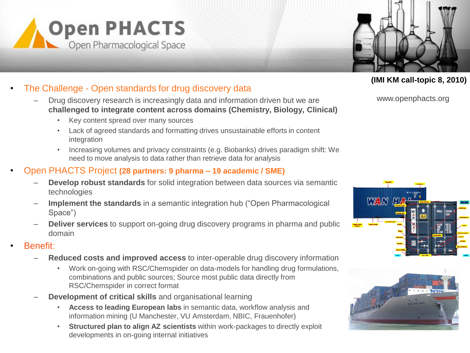



## **(IMI KM call-topic 8, 2010)**

• The Challenge - Open standards for drug discovery data

- Drug discovery research is increasingly data and information driven but we are **challenged to integrate content across domains (Chemistry, Biology, Clinical)**
	- Key content spread over many sources
	- Lack of agreed standards and formatting drives unsustainable efforts in content integration
	- Increasing volumes and privacy constraints (e.g. Biobanks) drives paradigm shift: We need to move analysis to data rather than retrieve data for analysis

## • Open PHACTS Project **(28 partners: 9 pharma – 19 academic / SME)**

- **Develop robust standards** for solid integration between data sources via semantic technologies
- **Implement the standards** in a semantic integration hub ("Open Pharmacological Space")
- **Deliver services** to support on-going drug discovery programs in pharma and public domain
- Benefit:
	- **Reduced costs and improved access** to inter-operable drug discovery information
		- Work on-going with RSC/Chemspider on data-models for handling drug formulations, combinations and public sources; Source most public data directly from RSC/Chemspider in correct format
	- **Development of critical skills** and organisational learning
		- **Access to leading European labs** in semantic data, workflow analysis and information mining (U Manchester, VU Amsterdam, NBIC, Frauenhofer)
		- **Structured plan to align AZ scientists** within work-packages to directly exploit developments in on-going internal initiatives

www.openphacts.org